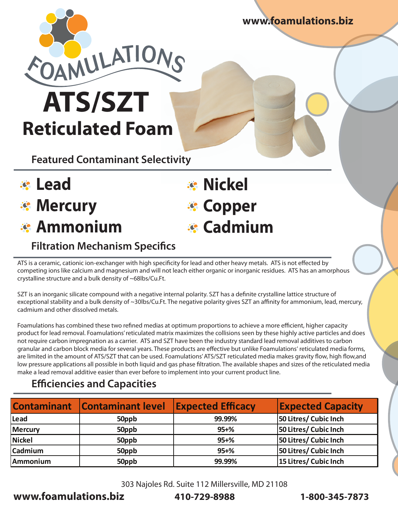**www.foamulations.biz**



**Reticulated Foam**

**Featured Contaminant Selectivity**

- **Lead**
- **Mercury**
- **Ammonium**

# *<b>R* Nickel **Copper Cadmium**

## **Filtration Mechanism Specifics**

ATS is a ceramic, cationic ion-exchanger with high specificity for lead and other heavy metals. ATS is not effected by competing ions like calcium and magnesium and will not leach either organic or inorganic residues. ATS has an amorphous crystalline structure and a bulk density of ~68lbs/Cu.Ft.

SZT is an inorganic silicate compound with a negative internal polarity. SZT has a definite crystalline lattice structure of exceptional stability and a bulk density of ~30lbs/Cu.Ft. The negative polarity gives SZT an affinity for ammonium, lead, mercury, cadmium and other dissolved metals.

Foamulations has combined these two refined medias at optimum proportions to achieve a more efficient, higher capacity product for lead removal. Foamulations' reticulated matrix maximizes the collisions seen by these highly active particles and does not require carbon impregnation as a carrier. ATS and SZT have been the industry standard lead removal additives to carbon granular and carbon block media for several years. These products are effective but unlike Foamulations' reticulated media forms, are limited in the amount of ATS/SZT that can be used. Foamulations' ATS/SZT reticulated media makes gravity flow, high flow, and low pressure applications all possible in both liquid and gas phase filtration. The available shapes and sizes of the reticulated media make a lead removal additive easier than ever before to implement into your current product line.

### **Efficiencies and Capacities**

|                | <b>Contaminant Contaminant level</b> | <b>Expected Efficacy</b> | <b>Expected Capacity</b> |
|----------------|--------------------------------------|--------------------------|--------------------------|
| Lead           | 50ppb                                | 99.99%                   | 50 Litres/ Cubic Inch    |
| <b>Mercury</b> | 50ppb                                | $95 + \%$                | 50 Litres/ Cubic Inch    |
| <b>Nickel</b>  | 50ppb                                | $95 + \%$                | 50 Litres/ Cubic Inch    |
| Cadmium        | 50ppb                                | $95 + \%$                | 50 Litres/ Cubic Inch    |
| Ammonium       | 50ppb                                | 99.99%                   | 15 Litres/ Cubic Inch    |

303 Najoles Rd. Suite 112 Millersville, MD 21108

**www.foamulations.biz 410-729-8988 1-800-345-7873**